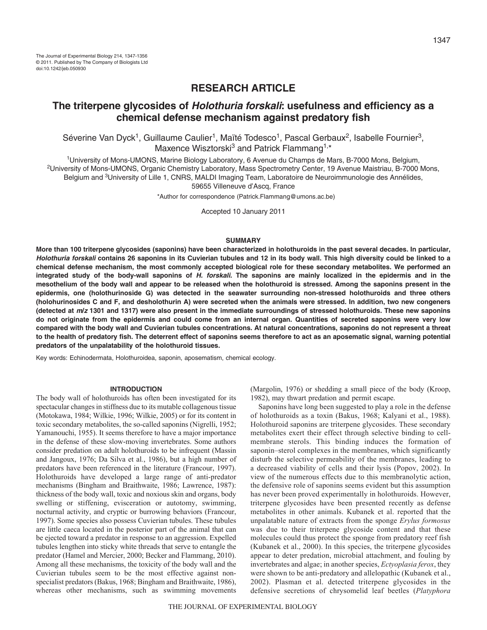# **RESEARCH ARTICLE**

# **The triterpene glycosides of Holothuria forskali: usefulness and efficiency as a chemical defense mechanism against predatory fish**

Séverine Van Dyck<sup>1</sup>, Guillaume Caulier<sup>1</sup>, Maïté Todesco<sup>1</sup>, Pascal Gerbaux<sup>2</sup>, Isabelle Fournier<sup>3</sup>, Maxence Wisztorski<sup>3</sup> and Patrick Flammang<sup>1,\*</sup>

1University of Mons-UMONS, Marine Biology Laboratory, 6 Avenue du Champs de Mars, B-7000 Mons, Belgium, <sup>2</sup>University of Mons-UMONS, Organic Chemistry Laboratory, Mass Spectrometry Center, 19 Avenue Maistriau, B-7000 Mons, Belgium and <sup>3</sup>University of Lille 1, CNRS, MALDI Imaging Team, Laboratoire de Neuroimmunologie des Annélides, 59655 Villeneuve d'Ascq, France

\*Author for correspondence (Patrick.Flammang@umons.ac.be)

Accepted 10 January 2011

#### **SUMMARY**

**More than 100 triterpene glycosides (saponins) have been characterized in holothuroids in the past several decades. In particular, Holothuria forskali contains 26 saponins in its Cuvierian tubules and 12 in its body wall. This high diversity could be linked to a chemical defense mechanism, the most commonly accepted biological role for these secondary metabolites. We performed an integrated study of the body-wall saponins of H. forskali. The saponins are mainly localized in the epidermis and in the mesothelium of the body wall and appear to be released when the holothuroid is stressed. Among the saponins present in the epidermis, one (holothurinoside G) was detected in the seawater surrounding non-stressed holothuroids and three others (holohurinosides C and F, and desholothurin A) were secreted when the animals were stressed. In addition, two new congeners (detected at m/<sup>z</sup> 1301 and 1317) were also present in the immediate surroundings of stressed holothuroids. These new saponins do not originate from the epidermis and could come from an internal organ. Quantities of secreted saponins were very low compared with the body wall and Cuvierian tubules concentrations. At natural concentrations, saponins do not represent a threat to the health of predatory fish. The deterrent effect of saponins seems therefore to act as an aposematic signal, warning potential predators of the unpalatability of the holothuroid tissues.**

Key words: Echinodermata, Holothuroidea, saponin, aposematism, chemical ecology.

## **INTRODUCTION**

The body wall of holothuroids has often been investigated for its spectacular changes in stiffness due to its mutable collagenous tissue (Motokawa, 1984; Wilkie, 1996; Wilkie, 2005) or for its content in toxic secondary metabolites, the so-called saponins (Nigrelli, 1952; Yamanouchi, 1955). It seems therefore to have a major importance in the defense of these slow-moving invertebrates. Some authors consider predation on adult holothuroids to be infrequent (Massin and Jangoux, 1976; Da Silva et al*.*, 1986), but a high number of predators have been referenced in the literature (Francour, 1997). Holothuroids have developed a large range of anti-predator mechanisms (Bingham and Braithwaite, 1986; Lawrence, 1987): thickness of the body wall, toxic and noxious skin and organs, body swelling or stiffening, evisceration or autotomy, swimming, nocturnal activity, and cryptic or burrowing behaviors (Francour, 1997). Some species also possess Cuvierian tubules. These tubules are little caeca located in the posterior part of the animal that can be ejected toward a predator in response to an aggression. Expelled tubules lengthen into sticky white threads that serve to entangle the predator (Hamel and Mercier, 2000; Becker and Flammang, 2010). Among all these mechanisms, the toxicity of the body wall and the Cuvierian tubules seem to be the most effective against nonspecialist predators (Bakus, 1968; Bingham and Braithwaite, 1986), whereas other mechanisms, such as swimming movements

(Margolin, 1976) or shedding a small piece of the body (Kroop, 1982), may thwart predation and permit escape.

Saponins have long been suggested to play a role in the defense of holothuroids as a toxin (Bakus, 1968; Kalyani et al., 1988). Holothuroid saponins are triterpene glycosides. These secondary metabolites exert their effect through selective binding to cellmembrane sterols. This binding induces the formation of saponin–sterol complexes in the membranes, which significantly disturb the selective permeability of the membranes, leading to a decreased viability of cells and their lysis (Popov, 2002). In view of the numerous effects due to this membranolytic action, the defensive role of saponins seems evident but this assumption has never been proved experimentally in holothuroids. However, triterpene glycosides have been presented recently as defense metabolites in other animals. Kubanek et al. reported that the unpalatable nature of extracts from the sponge *Erylus formosus* was due to their triterpene glycoside content and that these molecules could thus protect the sponge from predatory reef fish (Kubanek et al., 2000). In this species, the triterpene glycosides appear to deter predation, microbial attachment, and fouling by invertebrates and algae; in another species, *Ectyoplasia ferox*, they were shown to be anti-predatory and allelopathic (Kubanek et al., 2002). Plasman et al. detected triterpene glycosides in the defensive secretions of chrysomelid leaf beetles (*Platyphora*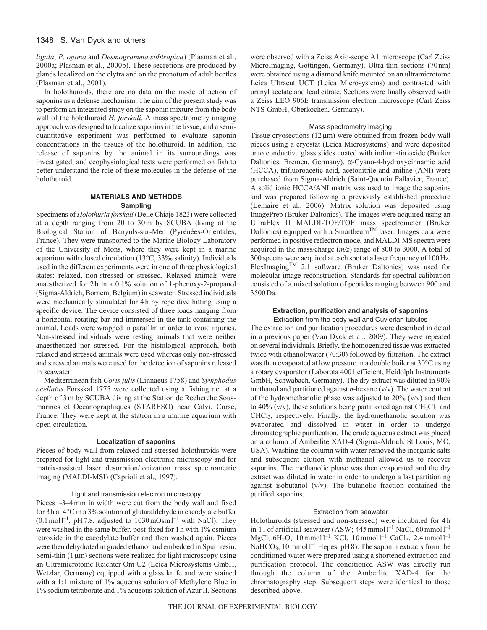*ligata*, *P. opima* and *Desmogramma subtropica*) (Plasman et al., 2000a; Plasman et al., 2000b). These secretions are produced by glands localized on the elytra and on the pronotum of adult beetles (Plasman et al., 2001).

In holothuroids, there are no data on the mode of action of saponins as a defense mechanism. The aim of the present study was to perform an integrated study on the saponin mixture from the body wall of the holothuroid *H. forskali*. A mass spectrometry imaging approach was designed to localize saponins in the tissue, and a semiquantitative experiment was performed to evaluate saponin concentrations in the tissues of the holothuroid. In addition, the release of saponins by the animal in its surroundings was investigated, and ecophysiological tests were performed on fish to better understand the role of these molecules in the defense of the holothuroid.

## **MATERIALS AND METHODS Sampling**

Specimens of *Holothuria forskali* (Delle Chiaje 1823) were collected at a depth ranging from 20 to 30m by SCUBA diving at the Biological Station of Banyuls-sur-Mer (Pyrénées-Orientales, France). They were transported to the Marine Biology Laboratory of the University of Mons, where they were kept in a marine aquarium with closed circulation (13°C, 33‰ salinity). Individuals used in the different experiments were in one of three physiological states: relaxed, non-stressed or stressed. Relaxed animals were anaesthetized for 2h in a 0.1% solution of 1-phenoxy-2-propanol (Sigma-Aldrich, Bornem, Belgium) in seawater. Stressed individuals were mechanically stimulated for 4h by repetitive hitting using a specific device. The device consisted of three loads hanging from a horizontal rotating bar and immersed in the tank containing the animal. Loads were wrapped in parafilm in order to avoid injuries. Non-stressed individuals were resting animals that were neither anaesthetized nor stressed. For the histological approach, both relaxed and stressed animals were used whereas only non-stressed and stressed animals were used for the detection of saponins released in seawater.

Mediterranean fish *Coris julis* (Linnaeus 1758) and *Symphodus ocellatus* Forsskal 1775 were collected using a fishing net at a depth of 3m by SCUBA diving at the Station de Recherche Sousmarines et Océanographiques (STARESO) near Calvi, Corse, France. They were kept at the station in a marine aquarium with open circulation.

#### **Localization of saponins**

Pieces of body wall from relaxed and stressed holothuroids were prepared for light and transmission electronic microscopy and for matrix-assisted laser desorption/ionization mass spectrometric imaging (MALDI-MSI) (Caprioli et al., 1997).

## Light and transmission electron microscopy

Pieces  $\sim$ 3–4mm in width were cut from the body wall and fixed for 3h at 4°C in a 3% solution of glutaraldehyde in cacodylate buffer  $(0.1 \text{ mol}^{-1}$ , pH7.8, adjusted to  $1030 \text{ mOsm}^{-1}$  with NaCl). They were washed in the same buffer, post-fixed for 1h with 1% osmium tetroxide in the cacodylate buffer and then washed again. Pieces were then dehydrated in graded ethanol and embedded in Spurr resin. Semi-thin  $(1 \mu m)$  sections were realized for light microscopy using an Ultramicrotome Reichter Om U2 (Leica Microsystems GmbH, Wetzlar, Germany) equipped with a glass knife and were stained with a 1:1 mixture of 1% aqueous solution of Methylene Blue in 1% sodium tetraborate and 1% aqueous solution of Azur II. Sections

were observed with a Zeiss Axio-scope A1 microscope (Carl Zeiss MicroImaging, Göttingen, Germany). Ultra-thin sections (70nm) were obtained using a diamond knife mounted on an ultramicrotome Leica Ultracut UCT (Leica Microsystems) and contrasted with uranyl acetate and lead citrate. Sections were finally observed with a Zeiss LEO 906E transmission electron microscope (Carl Zeiss NTS GmbH, Oberkochen, Germany).

#### Mass spectrometry imaging

Tissue cryosections  $(12 \mu m)$  were obtained from frozen body-wall pieces using a cryostat (Leica Microsystems) and were deposited onto conductive glass slides coated with indium-tin oxide (Bruker Daltonics, Bremen, Germany).  $\alpha$ -Cyano-4-hydroxycinnamic acid (HCCA), trifluoroacetic acid, acetonitrile and aniline (ANI) were purchased from Sigma-Aldrich (Saint-Quentin Fallavier, France). A solid ionic HCCA/ANI matrix was used to image the saponins and was prepared following a previously established procedure (Lemaire et al., 2006). Matrix solution was deposited using ImagePrep (Bruker Daltonics). The images were acquired using an UltraFlex II MALDI-TOF/TOF mass spectrometer (Bruker Daltonics) equipped with a Smartbeam<sup>TM</sup> laser. Images data were performed in positive reflectron mode, and MALDI-MS spectra were acquired in the mass/charge (*m/z*) range of 800 to 3000. A total of 300 spectra were acquired at each spot at a laser frequency of 100Hz. FlexImaging<sup>TM</sup> 2.1 software (Bruker Daltonics) was used for molecular image reconstruction. Standards for spectral calibration consisted of a mixed solution of peptides ranging between 900 and 3500Da.

#### **Extraction, purification and analysis of saponins** Extraction from the body wall and Cuvierian tubules

The extraction and purification procedures were described in detail in a previous paper (Van Dyck et al., 2009). They were repeated on several individuals. Briefly, the homogenized tissue was extracted twice with ethanol:water (70:30) followed by filtration. The extract was then evaporated at low pressure in a double boiler at 30°C using a rotary evaporator (Laborota 4001 efficient, Heidolph Instruments GmbH, Schwabach, Germany). The dry extract was diluted in 90% methanol and partitioned against *n*-hexane (v/v). The water content of the hydromethanolic phase was adjusted to 20% (v/v) and then to 40% (v/v), these solutions being partitioned against  $CH<sub>2</sub>Cl<sub>2</sub>$  and CHCl3, respectively. Finally, the hydromethanolic solution was evaporated and dissolved in water in order to undergo chromatographic purification. The crude aqueous extract was placed on a column of Amberlite XAD-4 (Sigma-Aldrich, St Louis, MO, USA). Washing the column with water removed the inorganic salts and subsequent elution with methanol allowed us to recover saponins. The methanolic phase was then evaporated and the dry extract was diluted in water in order to undergo a last partitioning against isobutanol (v/v). The butanolic fraction contained the purified saponins.

#### Extraction from seawater

Holothuroids (stressed and non-stressed) were incubated for 4 h in 11 of artificial seawater (ASW;  $445$  mmol<sup>1-1</sup> NaCl, 60 mmol<sup>1-1</sup>  $MgCl_2.6H_2O$ , 10 mmol  $l^{-1}$  KCl, 10 mmol  $l^{-1}$  CaCl<sub>2</sub>, 2.4 mmol  $l^{-1}$ NaHCO<sub>3</sub>, 10 mmol  $l^{-1}$  Hepes, pH 8). The saponin extracts from the conditioned water were prepared using a shortened extraction and purification protocol. The conditioned ASW was directly run through the column of the Amberlite XAD-4 for the chromatography step. Subsequent steps were identical to those described above.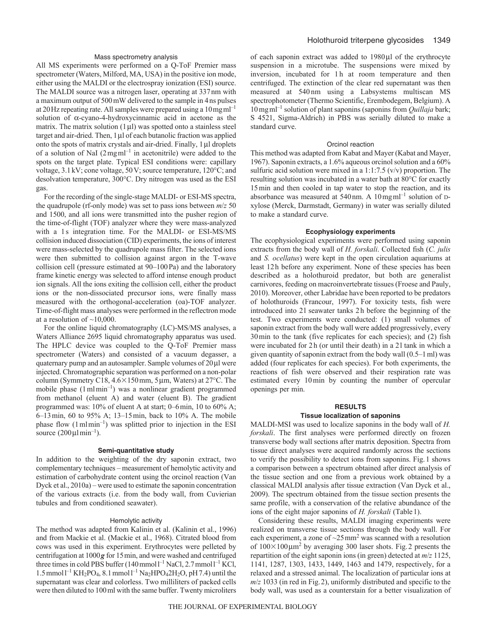#### Mass spectrometry analysis

All MS experiments were performed on a Q-ToF Premier mass spectrometer (Waters, Milford, MA, USA) in the positive ion mode, either using the MALDI or the electrospray ionization (ESI) source. The MALDI source was a nitrogen laser, operating at 337nm with a maximum output of 500mW delivered to the sample in 4ns pulses at 20 Hz repeating rate. All samples were prepared using a  $10 \text{ mg} \text{ml}^{-1}$ solution of  $\alpha$ -cyano-4-hydroxycinnamic acid in acetone as the matrix. The matrix solution  $(1 \mu I)$  was spotted onto a stainless steel target and air-dried. Then,  $1 \mu l$  of each butanolic fraction was applied onto the spots of matrix crystals and air-dried. Finally, 1 µl droplets of a solution of NaI  $(2 \text{ mg} \text{m}^{-1})$  in acetonitrile) were added to the spots on the target plate. Typical ESI conditions were: capillary voltage, 3.1kV; cone voltage, 50V; source temperature, 120°C; and desolvation temperature, 300°C. Dry nitrogen was used as the ESI gas.

For the recording of the single-stage MALDI- or ESI-MS spectra, the quadrupole (rf-only mode) was set to pass ions between *m*/*z* 50 and 1500, and all ions were transmitted into the pusher region of the time-of-flight (TOF) analyzer where they were mass-analyzed with a 1s integration time. For the MALDI- or ESI-MS/MS collision induced dissociation (CID) experiments, the ions of interest were mass-selected by the quadrupole mass filter. The selected ions were then submitted to collision against argon in the T-wave collision cell (pressure estimated at 90–100Pa) and the laboratory frame kinetic energy was selected to afford intense enough product ion signals. All the ions exiting the collision cell, either the product ions or the non-dissociated precursor ions, were finally mass measured with the orthogonal-acceleration (oa)-TOF analyzer. Time-of-flight mass analyses were performed in the reflectron mode at a resolution of  $\sim$ 10,000.

For the online liquid chromatography (LC)-MS/MS analyses, a Waters Alliance 2695 liquid chromatography apparatus was used. The HPLC device was coupled to the Q-ToF Premier mass spectrometer (Waters) and consisted of a vacuum degasser, a quaternary pump and an autosampler. Sample volumes of  $20 \mu$ l were injected. Chromatographic separation was performed on a non-polar column (Symmetry C18,  $4.6 \times 150$  mm,  $5 \mu$ m, Waters) at 27°C. The mobile phase (1mlmin–1) was a nonlinear gradient programmed from methanol (eluent A) and water (eluent B). The gradient programmed was: 10% of eluent A at start; 0–6min, 10 to 60% A; 6–13min, 60 to 95% A; 13–15min, back to 10% A. The mobile phase flow  $(1 \text{mlmin}^{-1})$  was splitted prior to injection in the ESI source  $(200 \mu\mathrm{lmin}^{-1})$ .

#### **Semi-quantitative study**

In addition to the weighting of the dry saponin extract, two complementary techniques – measurement of hemolytic activity and estimation of carbohydrate content using the orcinol reaction (Van Dyck et al., 2010a) – were used to estimate the saponin concentration of the various extracts (i.e. from the body wall, from Cuvierian tubules and from conditioned seawater).

## Hemolytic activity

The method was adapted from Kalinin et al. (Kalinin et al., 1996) and from Mackie et al. (Mackie et al., 1968). Citrated blood from cows was used in this experiment. Erythrocytes were pelleted by centrifugation at 1000*g* for 15min, and were washed and centrifuged three times in cold PBS buffer  $(140 \text{mmol}1^{-1} \text{ NaCl}, 2.7 \text{mmol}1^{-1} \text{ KCl},$ 1.5 mmol  $1^{-1}$  KH<sub>2</sub>PO<sub>4</sub>, 8.1 mmol  $1^{-1}$  Na<sub>2</sub>HPO<sub>4</sub>2H<sub>2</sub>O, pH 7.4) until the supernatant was clear and colorless. Two milliliters of packed cells were then diluted to 100ml with the same buffer. Twenty microliters

of each saponin extract was added to 1980µl of the erythrocyte suspension in a microtube. The suspensions were mixed by inversion, incubated for 1h at room temperature and then centrifuged. The extinction of the clear red supernatant was then measured at 540 nm using a Labsystems multiscan MS spectrophotometer (Thermo Scientific, Erembodegem, Belgium). A 10mgml–1 solution of plant saponins (saponins from *Quillaja* bark; S 4521, Sigma-Aldrich) in PBS was serially diluted to make a standard curve.

#### Orcinol reaction

This method was adapted from Kabat and Mayer (Kabat and Mayer, 1967). Saponin extracts, a 1.6% aqueous orcinol solution and a 60% sulfuric acid solution were mixed in a  $1:1:7.5$  (v/v) proportion. The resulting solution was incubated in a water bath at 80°C for exactly 15min and then cooled in tap water to stop the reaction, and its absorbance was measured at 540nm. A 10mgml–1 solution of Dxylose (Merck, Darmstadt, Germany) in water was serially diluted to make a standard curve.

## **Ecophysiology experiments**

The ecophysiological experiments were performed using saponin extracts from the body wall of *H. forskali*. Collected fish (*C. julis* and *S. ocellatus*) were kept in the open circulation aquariums at least 12h before any experiment. None of these species has been described as a holothuroid predator, but both are generalist carnivores, feeding on macroinvertebrate tissues (Froese and Pauly, 2010). Moreover, other Labridae have been reported to be predators of holothuroids (Francour, 1997). For toxicity tests, fish were introduced into 2l seawater tanks 2h before the beginning of the test. Two experiments were conducted: (1) small volumes of saponin extract from the body wall were added progressively, every 30min to the tank (five replicates for each species); and (2) fish were incubated for 2h (or until their death) in a 2l tank in which a given quantity of saponin extract from the body wall (0.5–1ml) was added (four replicates for each species). For both experiments, the reactions of fish were observed and their respiration rate was estimated every 10min by counting the number of opercular openings per min.

## **RESULTS**

## **Tissue localization of saponins**

MALDI-MSI was used to localize saponins in the body wall of *H. forskali*. The first analyses were performed directly on frozen transverse body wall sections after matrix deposition. Spectra from tissue direct analyses were acquired randomly across the sections to verify the possibility to detect ions from saponins. Fig.1 shows a comparison between a spectrum obtained after direct analysis of the tissue section and one from a previous work obtained by a classical MALDI analysis after tissue extraction (Van Dyck et al., 2009). The spectrum obtained from the tissue section presents the same profile, with a conservation of the relative abundance of the ions of the eight major saponins of *H. forskali* (Table1).

Considering these results, MALDI imaging experiments were realized on transverse tissue sections through the body wall. For each experiment, a zone of  $\sim$ 25 mm<sup>2</sup> was scanned with a resolution of  $100\times100\,\mu\text{m}^2$  by averaging 300 laser shots. Fig.2 presents the repartition of the eight saponin ions (in green) detected at *m*/*z* 1125, 1141, 1287, 1303, 1433, 1449, 1463 and 1479, respectively, for a relaxed and a stressed animal. The localization of particular ions at *m*/*z* 1033 (in red in Fig.2), uniformly distributed and specific to the body wall, was used as a counterstain for a better visualization of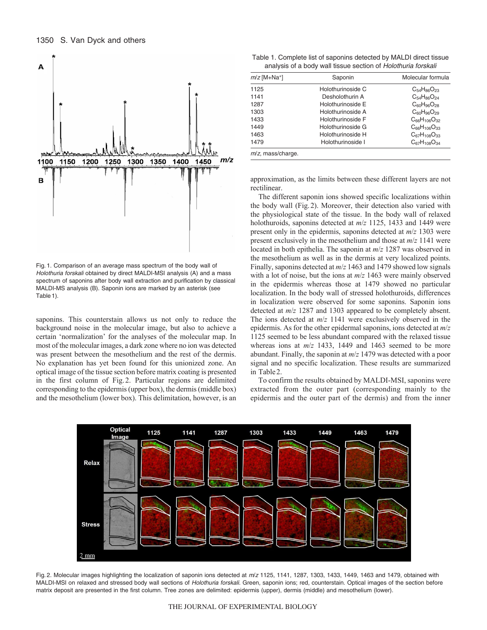

Fig. 1. Comparison of an average mass spectrum of the body wall of Holothuria forskali obtained by direct MALDI-MSI analysis (A) and a mass spectrum of saponins after body wall extraction and purification by classical MALDI-MS analysis (B). Saponin ions are marked by an asterisk (see Table 1).

saponins. This counterstain allows us not only to reduce the background noise in the molecular image, but also to achieve a certain 'normalization' for the analyses of the molecular map. In most of the molecular images, a dark zone where no ion was detected was present between the mesothelium and the rest of the dermis. No explanation has yet been found for this unionized zone. An optical image of the tissue section before matrix coating is presented in the first column of Fig.2. Particular regions are delimited corresponding to the epidermis (upper box), the dermis (middle box) and the mesothelium (lower box). This delimitation, however, is an

Table 1. Complete list of saponins detected by MALDI direct tissue analysis of a body wall tissue section of Holothuria forskali

| $m/z$ [M+Na <sup>+</sup> ] | Saponin           | Molecular formula     |  |
|----------------------------|-------------------|-----------------------|--|
| 1125                       | Holothurinoside C | $C_{54}H_{86}O_{23}$  |  |
| 1141                       | Desholothurin A   | $C_{54}H_{86}O_{24}$  |  |
| 1287                       | Holothurinoside E | $C_{60}H_{96}O_{28}$  |  |
| 1303                       | Holothurinoside A | $C_{60}H_{96}O_{29}$  |  |
| 1433                       | Holothurinoside F | $C_{66}H_{106}O_{32}$ |  |
| 1449                       | Holothurinoside G | $C_{66}H_{106}O_{33}$ |  |
| 1463                       | Holothurinoside H | $C_{67}H_{108}O_{33}$ |  |
| 1479                       | Holothurinoside I | $C_{67}H_{108}O_{34}$ |  |
| $m/z$ , mass/charge.       |                   |                       |  |

approximation, as the limits between these different layers are not rectilinear.

The different saponin ions showed specific localizations within the body wall (Fig.2). Moreover, their detection also varied with the physiological state of the tissue. In the body wall of relaxed holothuroids, saponins detected at *m*/*z* 1125, 1433 and 1449 were present only in the epidermis, saponins detected at *m*/*z* 1303 were present exclusively in the mesothelium and those at *m*/*z* 1141 were located in both epithelia. The saponin at *m*/*z* 1287 was observed in the mesothelium as well as in the dermis at very localized points. Finally, saponins detected at *m*/*z* 1463 and 1479 showed low signals with a lot of noise, but the ions at *m*/*z* 1463 were mainly observed in the epidermis whereas those at 1479 showed no particular localization. In the body wall of stressed holothuroids, differences in localization were observed for some saponins. Saponin ions detected at *m*/*z* 1287 and 1303 appeared to be completely absent. The ions detected at *m*/*z* 1141 were exclusively observed in the epidermis. As for the other epidermal saponins, ions detected at *m*/*z* 1125 seemed to be less abundant compared with the relaxed tissue whereas ions at  $m/z$  1433, 1449 and 1463 seemed to be more abundant. Finally, the saponin at *m*/*z* 1479 was detected with a poor signal and no specific localization. These results are summarized in Table2.

To confirm the results obtained by MALDI-MSI, saponins were extracted from the outer part (corresponding mainly to the epidermis and the outer part of the dermis) and from the inner



Fig. 2. Molecular images highlighting the localization of saponin ions detected at  $m/z$  1125, 1141, 1287, 1303, 1433, 1449, 1463 and 1479, obtained with MALDI-MSI on relaxed and stressed body wall sections of Holothuria forskali. Green, saponin ions; red, counterstain. Optical images of the section before matrix deposit are presented in the first column. Tree zones are delimited: epidermis (upper), dermis (middle) and mesothelium (lower).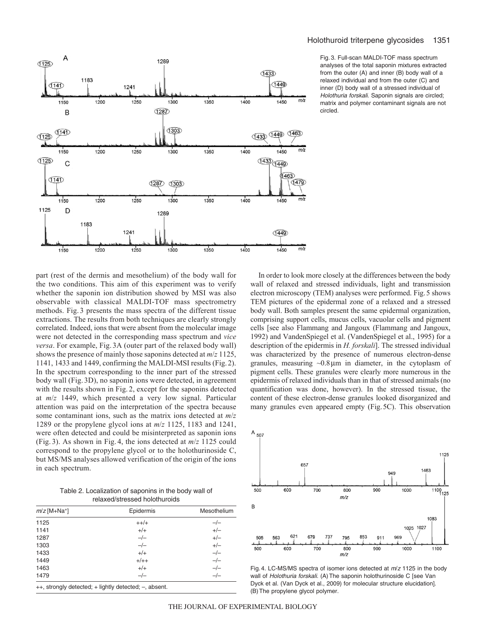#### Holothuroid triterpene glycosides 1351

Fig. 3. Full-scan MALDI-TOF mass spectrum analyses of the total saponin mixtures extracted from the outer (A) and inner (B) body wall of a relaxed individual and from the outer (C) and inner (D) body wall of a stressed individual of Holothuria forskali. Saponin signals are circled; matrix and polymer contaminant signals are not circled.



part (rest of the dermis and mesothelium) of the body wall for the two conditions. This aim of this experiment was to verify whether the saponin ion distribution showed by MSI was also observable with classical MALDI-TOF mass spectrometry methods. Fig. 3 presents the mass spectra of the different tissue extractions. The results from both techniques are clearly strongly correlated. Indeed, ions that were absent from the molecular image were not detected in the corresponding mass spectrum and *vice versa*. For example, Fig. 3A (outer part of the relaxed body wall) shows the presence of mainly those saponins detected at *m*/*z* 1125, 1141, 1433 and 1449, confirming the MALDI-MSI results (Fig. 2). In the spectrum corresponding to the inner part of the stressed body wall (Fig. 3D), no saponin ions were detected, in agreement with the results shown in Fig. 2, except for the saponins detected at *m*/*z* 1449, which presented a very low signal. Particular attention was paid on the interpretation of the spectra because some contaminant ions, such as the matrix ions detected at *m*/*z* 1289 or the propylene glycol ions at *m*/*z* 1125, 1183 and 1241, were often detected and could be misinterpreted as saponin ions (Fig. 3). As shown in Fig. 4, the ions detected at *m*/*z* 1125 could correspond to the propylene glycol or to the holothurinoside C, but MS/MS analyses allowed verification of the origin of the ions in each spectrum.

Table 2. Localization of saponins in the body wall of relaxed/stressed holothuroids

| $m/z$ [M+Na <sup>+</sup> ] | Epidermis                                             | Mesothelium |  |
|----------------------------|-------------------------------------------------------|-------------|--|
| 1125                       | $++/+$                                                | $-/-$       |  |
| 1141                       | $+/-$                                                 | $+/-$       |  |
| 1287                       | $-/-$                                                 | $+/-$       |  |
| 1303                       | $-/-$                                                 | $+/-$       |  |
| 1433                       | $+/-$                                                 | $-/-$       |  |
| 1449                       | $+/++$                                                | $-/-$       |  |
| 1463                       | $+/-$                                                 | $-/-$       |  |
| 1479                       | $-/-$                                                 | $-/-$       |  |
|                            | ++, strongly detected; + lightly detected; -, absent. |             |  |

In order to look more closely at the differences between the body wall of relaxed and stressed individuals, light and transmission electron microscopy (TEM) analyses were performed. Fig.5 shows TEM pictures of the epidermal zone of a relaxed and a stressed body wall. Both samples present the same epidermal organization, comprising support cells, mucus cells, vacuolar cells and pigment cells [see also Flammang and Jangoux (Flammang and Jangoux, 1992) and VandenSpiegel et al. (VandenSpiegel et al., 1995) for a description of the epidermis in *H. forskali*]. The stressed individual was characterized by the presence of numerous electron-dense granules, measuring  $\sim 0.8 \mu m$  in diameter, in the cytoplasm of pigment cells. These granules were clearly more numerous in the epidermis of relaxed individuals than in that of stressed animals (no quantification was done, however). In the stressed tissue, the content of these electron-dense granules looked disorganized and many granules even appeared empty (Fig.5C). This observation



Fig. 4. LC-MS/MS spectra of isomer ions detected at  $m/z$  1125 in the body wall of Holothuria forskali. (A) The saponin holothurinoside C [see Van Dyck et al. (Van Dyck et al., 2009) for molecular structure elucidation]. (B)The propylene glycol polymer.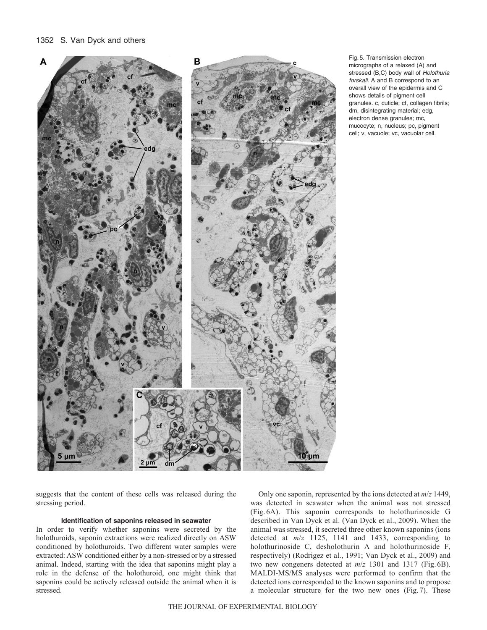

Fig. 5. Transmission electron micrographs of a relaxed (A) and stressed (B,C) body wall of Holothuria forskali. A and B correspond to an overall view of the epidermis and C shows details of pigment cell granules. c, cuticle; cf, collagen fibrils; dm, disintegrating material; edg, electron dense granules; mc, mucocyte; n, nucleus; pc, pigment cell; v, vacuole; vc, vacuolar cell.

suggests that the content of these cells was released during the stressing period.

## **Identification of saponins released in seawater**

In order to verify whether saponins were secreted by the holothuroids, saponin extractions were realized directly on ASW conditioned by holothuroids. Two different water samples were extracted: ASW conditioned either by a non-stressed or by a stressed animal. Indeed, starting with the idea that saponins might play a role in the defense of the holothuroid, one might think that saponins could be actively released outside the animal when it is stressed.

Only one saponin, represented by the ions detected at *m*/*z* 1449, was detected in seawater when the animal was not stressed (Fig. 6A). This saponin corresponds to holothurinoside G described in Van Dyck et al. (Van Dyck et al., 2009). When the animal was stressed, it secreted three other known saponins (ions detected at *m*/*z* 1125, 1141 and 1433, corresponding to holothurinoside C, desholothurin A and holothurinoside F, respectively) (Rodrigez et al., 1991; Van Dyck et al., 2009) and two new congeners detected at *m*/*z* 1301 and 1317 (Fig. 6B). MALDI-MS/MS analyses were performed to confirm that the detected ions corresponded to the known saponins and to propose a molecular structure for the two new ones (Fig. 7). These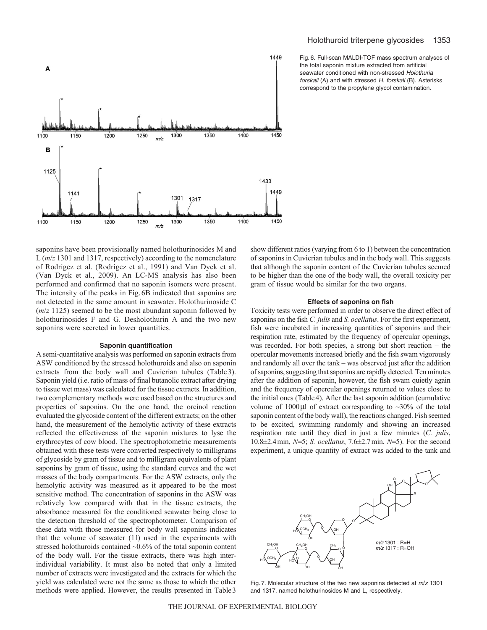

#### Holothuroid triterpene glycosides 1353

Fig. 6. Full-scan MALDI-TOF mass spectrum analyses of the total saponin mixture extracted from artificial seawater conditioned with non-stressed Holothuria forskali (A) and with stressed H. forskali (B). Asterisks correspond to the propylene glycol contamination.

saponins have been provisionally named holothurinosides M and L (*m*/*z* 1301 and 1317, respectively) according to the nomenclature of Rodrigez et al. (Rodrigez et al., 1991) and Van Dyck et al. (Van Dyck et al., 2009). An LC-MS analysis has also been performed and confirmed that no saponin isomers were present. The intensity of the peaks in Fig. 6B indicated that saponins are not detected in the same amount in seawater. Holothurinoside C (*m*/*z* 1125) seemed to be the most abundant saponin followed by holothurinosides F and G. Desholothurin A and the two new saponins were secreted in lower quantities.

#### **Saponin quantification**

A semi-quantitative analysis was performed on saponin extracts from ASW conditioned by the stressed holothuroids and also on saponin extracts from the body wall and Cuvierian tubules (Table 3). Saponin yield (i.e. ratio of mass of final butanolic extract after drying to tissue wet mass) was calculated for the tissue extracts. In addition, two complementary methods were used based on the structures and properties of saponins. On the one hand, the orcinol reaction evaluated the glycoside content of the different extracts; on the other hand, the measurement of the hemolytic activity of these extracts reflected the effectiveness of the saponin mixtures to lyse the erythrocytes of cow blood. The spectrophotometric measurements obtained with these tests were converted respectively to milligrams of glycoside by gram of tissue and to milligram equivalents of plant saponins by gram of tissue, using the standard curves and the wet masses of the body compartments. For the ASW extracts, only the hemolytic activity was measured as it appeared to be the most sensitive method. The concentration of saponins in the ASW was relatively low compared with that in the tissue extracts, the absorbance measured for the conditioned seawater being close to the detection threshold of the spectrophotometer. Comparison of these data with those measured for body wall saponins indicates that the volume of seawater (1l) used in the experiments with stressed holothuroids contained ~0.6% of the total saponin content of the body wall. For the tissue extracts, there was high interindividual variability. It must also be noted that only a limited number of extracts were investigated and the extracts for which the yield was calculated were not the same as those to which the other methods were applied. However, the results presented in Table3

show different ratios (varying from 6 to 1) between the concentration of saponins in Cuvierian tubules and in the body wall. This suggests that although the saponin content of the Cuvierian tubules seemed to be higher than the one of the body wall, the overall toxicity per gram of tissue would be similar for the two organs.

#### **Effects of saponins on fish**

Toxicity tests were performed in order to observe the direct effect of saponins on the fish *C. julis* and *S. ocellatus*. For the first experiment, fish were incubated in increasing quantities of saponins and their respiration rate, estimated by the frequency of opercular openings, was recorded. For both species, a strong but short reaction – the opercular movements increased briefly and the fish swam vigorously and randomly all over the tank – was observed just after the addition of saponins, suggesting that saponins are rapidly detected. Ten minutes after the addition of saponin, however, the fish swam quietly again and the frequency of opercular openings returned to values close to the initial ones (Table4). After the last saponin addition (cumulative volume of 1000 $\mu$ l of extract corresponding to  $\sim$ 30% of the total saponin content of the body wall), the reactions changed. Fish seemed to be excited, swimming randomly and showing an increased respiration rate until they died in just a few minutes (*C. julis*, 10.8±2.4min, *N*=5; *S. ocellatus*, 7.6±2.7min, *N*=5). For the second experiment, a unique quantity of extract was added to the tank and



Fig. 7. Molecular structure of the two new saponins detected at m/z 1301 and 1317, named holothurinosides M and L, respectively.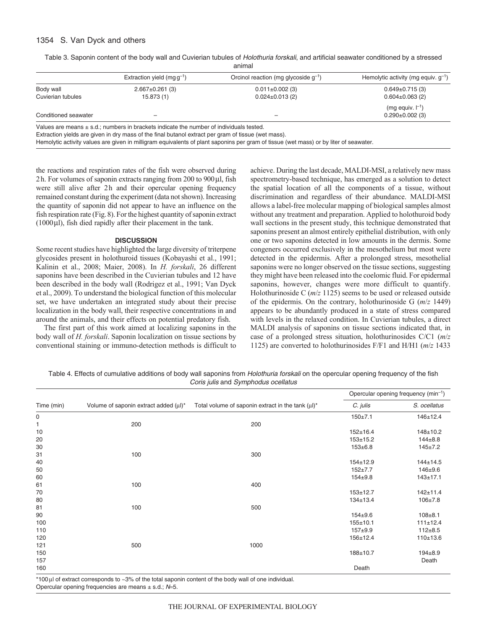Table 3. Saponin content of the body wall and Cuvierian tubules of Holothuria forskali, and artificial seawater conditioned by a stressed animal

|                      | Extraction yield (mg $q^{-1}$ ) | Orcinol reaction (mg glycoside $q^{-1}$ ) | Hemolytic activity (mg equiv. $q^{-1}$ )                |
|----------------------|---------------------------------|-------------------------------------------|---------------------------------------------------------|
| Body wall            | $2.667 \pm 0.261$ (3)           | $0.011 \pm 0.002$ (3)                     | $0.649 \pm 0.715(3)$                                    |
| Cuvierian tubules    | 15.873(1)                       | $0.024 \pm 0.013(2)$                      | $0.604 \pm 0.063$ (2)                                   |
| Conditioned seawater |                                 | $\overline{\phantom{m}}$                  | (mg equiv. $\mathsf{l}^{-1}$ )<br>$0.290 \pm 0.002$ (3) |

Values are means  $\pm$  s.d.; numbers in brackets indicate the number of individuals tested.

Extraction yields are given in dry mass of the final butanol extract per gram of tissue (wet mass).

Hemolytic activity values are given in milligram equivalents of plant saponins per gram of tissue (wet mass) or by liter of seawater.

the reactions and respiration rates of the fish were observed during 2h. For volumes of saponin extracts ranging from  $200$  to  $900 \mu$ l, fish were still alive after 2h and their opercular opening frequency remained constant during the experiment (data not shown). Increasing the quantity of saponin did not appear to have an influence on the fish respiration rate (Fig.8). For the highest quantity of saponin extract  $(1000\,\mu\text{I})$ , fish died rapidly after their placement in the tank.

#### **DISCUSSION**

Some recent studies have highlighted the large diversity of triterpene glycosides present in holothuroid tissues (Kobayashi et al., 1991; Kalinin et al., 2008; Maier, 2008). In *H. forskali*, 26 different saponins have been described in the Cuvierian tubules and 12 have been described in the body wall (Rodrigez et al., 1991; Van Dyck et al., 2009). To understand the biological function of this molecular set, we have undertaken an integrated study about their precise localization in the body wall, their respective concentrations in and around the animals, and their effects on potential predatory fish.

The first part of this work aimed at localizing saponins in the body wall of *H. forskali*. Saponin localization on tissue sections by conventional staining or immuno-detection methods is difficult to achieve. During the last decade, MALDI-MSI, a relatively new mass spectrometry-based technique, has emerged as a solution to detect the spatial location of all the components of a tissue, without discrimination and regardless of their abundance. MALDI-MSI allows a label-free molecular mapping of biological samples almost without any treatment and preparation. Applied to holothuroid body wall sections in the present study, this technique demonstrated that saponins present an almost entirely epithelial distribution, with only one or two saponins detected in low amounts in the dermis. Some congeners occurred exclusively in the mesothelium but most were detected in the epidermis. After a prolonged stress, mesothelial saponins were no longer observed on the tissue sections, suggesting they might have been released into the coelomic fluid. For epidermal saponins, however, changes were more difficult to quantify. Holothurinoside C (*m*/*z* 1125) seems to be used or released outside of the epidermis. On the contrary, holothurinoside G (*m*/*z* 1449) appears to be abundantly produced in a state of stress compared with levels in the relaxed condition. In Cuvierian tubules, a direct MALDI analysis of saponins on tissue sections indicated that, in case of a prolonged stress situation, holothurinosides C/C1 (*m*/*z* 1125) are converted to holothurinosides F/F1 and H/H1 (*m*/*z* 1433

Table 4. Effects of cumulative additions of body wall saponins from Holothuria forskali on the opercular opening frequency of the fish Coris julis and Symphodus ocellatus

| Time (min) | Volume of saponin extract added (µl)* | Total volume of saponin extract in the tank $(\mu\mathbf{I})^*$ | Opercular opening frequency (min <sup>-1</sup> ) |                |
|------------|---------------------------------------|-----------------------------------------------------------------|--------------------------------------------------|----------------|
|            |                                       |                                                                 | C. julis                                         | S. ocellatus   |
| 0          |                                       |                                                                 | $150 + 7.1$                                      | $146 \pm 12.4$ |
| 1          | 200                                   | 200                                                             |                                                  |                |
| 10         |                                       |                                                                 | $152 \pm 16.4$                                   | $148 + 10.2$   |
| 20         |                                       |                                                                 | $153 + 15.2$                                     | $144 \pm 8.8$  |
| 30         |                                       |                                                                 | $153 \pm 6.8$                                    | $145 \pm 7.2$  |
| 31         | 100                                   | 300                                                             |                                                  |                |
| 40         |                                       |                                                                 | $154 \pm 12.9$                                   | $144 \pm 14.5$ |
| 50         |                                       |                                                                 | $152 + 7.7$                                      | $146 + 9.6$    |
| 60         |                                       |                                                                 | $154 + 9.8$                                      | $143 + 17.1$   |
| 61         | 100                                   | 400                                                             |                                                  |                |
| 70         |                                       |                                                                 | $153 + 12.7$                                     | $142 + 11.4$   |
| 80         |                                       |                                                                 | $134 \pm 13.4$                                   | $106 \pm 7.8$  |
| 81         | 100                                   | 500                                                             |                                                  |                |
| 90         |                                       |                                                                 | $154 + 9.6$                                      | $108 + 8.1$    |
| 100        |                                       |                                                                 | $155 + 10.1$                                     | 111±12.4       |
| 110        |                                       |                                                                 | $157 + 9.9$                                      | $112 + 8.5$    |
| 120        |                                       |                                                                 | 156±12.4                                         | 110±13.6       |
| 121        | 500                                   | 1000                                                            |                                                  |                |
| 150        |                                       |                                                                 | 188±10.7                                         | $194 + 8.9$    |
| 157        |                                       |                                                                 |                                                  | Death          |
| 160        |                                       |                                                                 | Death                                            |                |

 $*100 \mu$  of extract corresponds to  $\sim 3\%$  of the total saponin content of the body wall of one individual. Opercular opening frequencies are means  $\pm$  s.d.; N=5.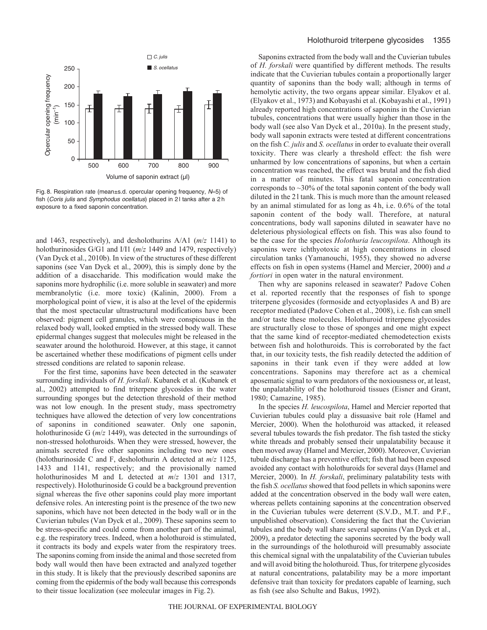

Fig. 8. Respiration rate (mean±s.d. opercular opening frequency,  $N=5$ ) of fish (Coris julis and Symphodus ocellatus) placed in 21 tanks after a 2h exposure to a fixed saponin concentration.

and 1463, respectively), and desholothurins A/A1 (*m*/*z* 1141) to holothurinosides G/G1 and I/I1 (*m*/*z* 1449 and 1479, respectively) (Van Dyck et al., 2010b). In view of the structures of these different saponins (see Van Dyck et al., 2009), this is simply done by the addition of a disaccharide. This modification would make the saponins more hydrophilic (i.e. more soluble in seawater) and more membranolytic (i.e. more toxic) (Kalinin, 2000). From a morphological point of view, it is also at the level of the epidermis that the most spectacular ultrastructural modifications have been observed: pigment cell granules, which were conspicuous in the relaxed body wall, looked emptied in the stressed body wall. These epidermal changes suggest that molecules might be released in the seawater around the holothuroid. However, at this stage, it cannot be ascertained whether these modifications of pigment cells under stressed conditions are related to saponin release.

For the first time, saponins have been detected in the seawater surrounding individuals of *H. forskali*. Kubanek et al. (Kubanek et al., 2002) attempted to find triterpene glycosides in the water surrounding sponges but the detection threshold of their method was not low enough. In the present study, mass spectrometry techniques have allowed the detection of very low concentrations of saponins in conditioned seawater. Only one saponin, holothurinoside G (*m*/*z* 1449), was detected in the surroundings of non-stressed holothuroids. When they were stressed, however, the animals secreted five other saponins including two new ones (holothurinoside C and F, desholothurin A detected at *m*/*z* 1125, 1433 and 1141, respectively; and the provisionally named holothurinosides M and L detected at *m*/*z* 1301 and 1317, respectively). Holothurinoside G could be a background prevention signal whereas the five other saponins could play more important defensive roles. An interesting point is the presence of the two new saponins, which have not been detected in the body wall or in the Cuvierian tubules (Van Dyck et al., 2009). These saponins seem to be stress-specific and could come from another part of the animal, e.g. the respiratory trees. Indeed, when a holothuroid is stimulated, it contracts its body and expels water from the respiratory trees. The saponins coming from inside the animal and those secreted from body wall would then have been extracted and analyzed together in this study. It is likely that the previously described saponins are coming from the epidermis of the body wall because this corresponds to their tissue localization (see molecular images in Fig.2).

Saponins extracted from the body wall and the Cuvierian tubules of *H. forskali* were quantified by different methods. The results indicate that the Cuvierian tubules contain a proportionally larger quantity of saponins than the body wall; although in terms of hemolytic activity, the two organs appear similar. Elyakov et al. (Elyakov et al., 1973) and Kobayashi et al. (Kobayashi et al., 1991) already reported high concentrations of saponins in the Cuvierian tubules, concentrations that were usually higher than those in the body wall (see also Van Dyck et al., 2010a). In the present study, body wall saponin extracts were tested at different concentrations on the fish *C. julis* and *S. ocellatus* in order to evaluate their overall toxicity. There was clearly a threshold effect: the fish were unharmed by low concentrations of saponins, but when a certain concentration was reached, the effect was brutal and the fish died in a matter of minutes. This fatal saponin concentration corresponds to ~30% of the total saponin content of the body wall diluted in the 2 l tank. This is much more than the amount released by an animal stimulated for as long as 4 h, i.e. 0.6% of the total saponin content of the body wall. Therefore, at natural concentrations, body wall saponins diluted in seawater have no deleterious physiological effects on fish. This was also found to be the case for the species *Holothuria leucospilota*. Although its saponins were ichthyotoxic at high concentrations in closed circulation tanks (Yamanouchi, 1955), they showed no adverse effects on fish in open systems (Hamel and Mercier, 2000) and *a fortiori* in open water in the natural environment.

Then why are saponins released in seawater? Padove Cohen et al. reported recently that the responses of fish to sponge triterpene glycosides (formoside and ectyoplasides A and B) are receptor mediated (Padove Cohen et al., 2008), i.e. fish can smell and/or taste these molecules. Holothuroid triterpene glycosides are structurally close to those of sponges and one might expect that the same kind of receptor-mediated chemodetection exists between fish and holothuroids. This is corroborated by the fact that, in our toxicity tests, the fish readily detected the addition of saponins in their tank even if they were added at low concentrations. Saponins may therefore act as a chemical aposematic signal to warn predators of the noxiousness or, at least, the unpalatability of the holothuroid tissues (Eisner and Grant, 1980; Camazine, 1985).

In the species *H. leucospilota*, Hamel and Mercier reported that Cuvierian tubules could play a dissuasive bait role (Hamel and Mercier, 2000). When the holothuroid was attacked, it released several tubules towards the fish predator. The fish tasted the sticky white threads and probably sensed their unpalatability because it then moved away (Hamel and Mercier, 2000). Moreover, Cuvierian tubule discharge has a preventive effect; fish that had been exposed avoided any contact with holothuroids for several days (Hamel and Mercier, 2000). In *H. forskali*, preliminary palatability tests with the fish *S. ocellatus*showed that food pellets in which saponins were added at the concentration observed in the body wall were eaten, whereas pellets containing saponins at the concentration observed in the Cuvierian tubules were deterrent (S.V.D., M.T. and P.F., unpublished observation). Considering the fact that the Cuvierian tubules and the body wall share several saponins (Van Dyck et al., 2009), a predator detecting the saponins secreted by the body wall in the surroundings of the holothuroid will presumably associate this chemical signal with the unpalatability of the Cuvierian tubules and will avoid biting the holothuroid. Thus, for triterpene glycosides at natural concentrations, palatability may be a more important defensive trait than toxicity for predators capable of learning, such as fish (see also Schulte and Bakus, 1992).